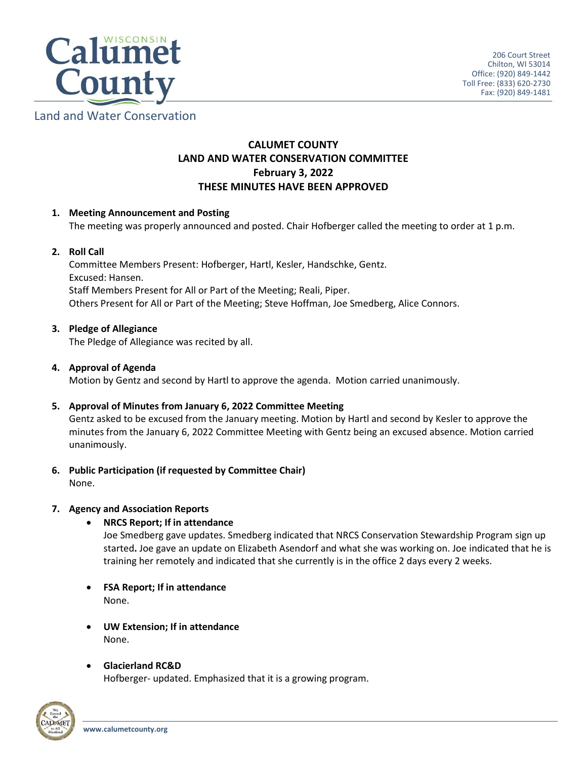

Land and Water Conservation

# **CALUMET COUNTY LAND AND WATER CONSERVATION COMMITTEE February 3, 2022 THESE MINUTES HAVE BEEN APPROVED**

# **1. Meeting Announcement and Posting**

The meeting was properly announced and posted. Chair Hofberger called the meeting to order at 1 p.m.

# **2. Roll Call**

Committee Members Present: Hofberger, Hartl, Kesler, Handschke, Gentz. Excused: Hansen. Staff Members Present for All or Part of the Meeting; Reali, Piper. Others Present for All or Part of the Meeting; Steve Hoffman, Joe Smedberg, Alice Connors.

# **3. Pledge of Allegiance**

The Pledge of Allegiance was recited by all.

# **4. Approval of Agenda**

Motion by Gentz and second by Hartl to approve the agenda. Motion carried unanimously.

### **5. Approval of Minutes from January 6, 2022 Committee Meeting**

Gentz asked to be excused from the January meeting. Motion by Hartl and second by Kesler to approve the minutes from the January 6, 2022 Committee Meeting with Gentz being an excused absence. Motion carried unanimously.

**6. Public Participation (if requested by Committee Chair)**

None.

# **7. Agency and Association Reports**

# **NRCS Report; If in attendance**

Joe Smedberg gave updates. Smedberg indicated that NRCS Conservation Stewardship Program sign up started**.** Joe gave an update on Elizabeth Asendorf and what she was working on. Joe indicated that he is training her remotely and indicated that she currently is in the office 2 days every 2 weeks.

- **FSA Report; If in attendance** None.
- **UW Extension; If in attendance** None.
- **Glacierland RC&D**

Hofberger- updated. Emphasized that it is a growing program.

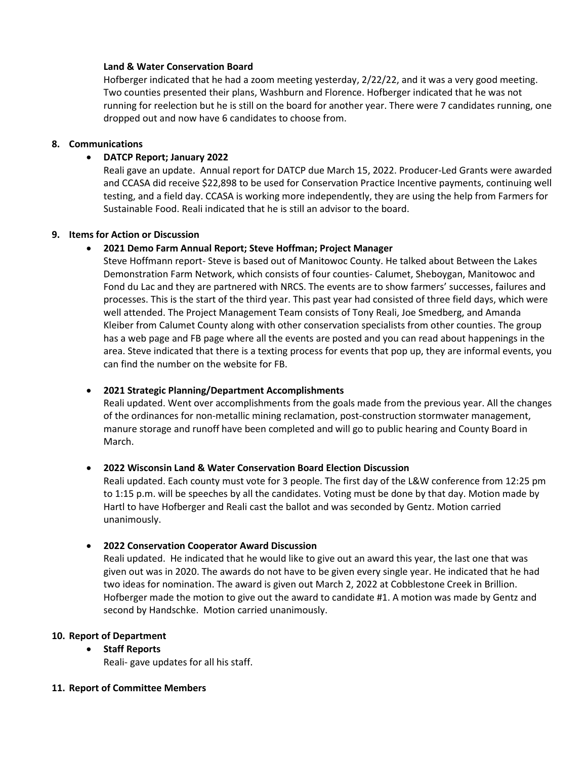#### **Land & Water Conservation Board**

Hofberger indicated that he had a zoom meeting yesterday, 2/22/22, and it was a very good meeting. Two counties presented their plans, Washburn and Florence. Hofberger indicated that he was not running for reelection but he is still on the board for another year. There were 7 candidates running, one dropped out and now have 6 candidates to choose from.

#### **8. Communications**

### **DATCP Report; January 2022**

Reali gave an update. Annual report for DATCP due March 15, 2022. Producer-Led Grants were awarded and CCASA did receive \$22,898 to be used for Conservation Practice Incentive payments, continuing well testing, and a field day. CCASA is working more independently, they are using the help from Farmers for Sustainable Food. Reali indicated that he is still an advisor to the board.

### **9. Items for Action or Discussion**

### **2021 Demo Farm Annual Report; Steve Hoffman; Project Manager**

Steve Hoffmann report- Steve is based out of Manitowoc County. He talked about Between the Lakes Demonstration Farm Network, which consists of four counties- Calumet, Sheboygan, Manitowoc and Fond du Lac and they are partnered with NRCS. The events are to show farmers' successes, failures and processes. This is the start of the third year. This past year had consisted of three field days, which were well attended. The Project Management Team consists of Tony Reali, Joe Smedberg, and Amanda Kleiber from Calumet County along with other conservation specialists from other counties. The group has a web page and FB page where all the events are posted and you can read about happenings in the area. Steve indicated that there is a texting process for events that pop up, they are informal events, you can find the number on the website for FB.

### **2021 Strategic Planning/Department Accomplishments**

Reali updated. Went over accomplishments from the goals made from the previous year. All the changes of the ordinances for non-metallic mining reclamation, post-construction stormwater management, manure storage and runoff have been completed and will go to public hearing and County Board in March.

### **2022 Wisconsin Land & Water Conservation Board Election Discussion**

Reali updated. Each county must vote for 3 people. The first day of the L&W conference from 12:25 pm to 1:15 p.m. will be speeches by all the candidates. Voting must be done by that day. Motion made by Hartl to have Hofberger and Reali cast the ballot and was seconded by Gentz. Motion carried unanimously.

### **2022 Conservation Cooperator Award Discussion**

Reali updated. He indicated that he would like to give out an award this year, the last one that was given out was in 2020. The awards do not have to be given every single year. He indicated that he had two ideas for nomination. The award is given out March 2, 2022 at Cobblestone Creek in Brillion. Hofberger made the motion to give out the award to candidate #1. A motion was made by Gentz and second by Handschke. Motion carried unanimously.

#### **10. Report of Department**

### **Staff Reports**

Reali- gave updates for all his staff.

# **11. Report of Committee Members**